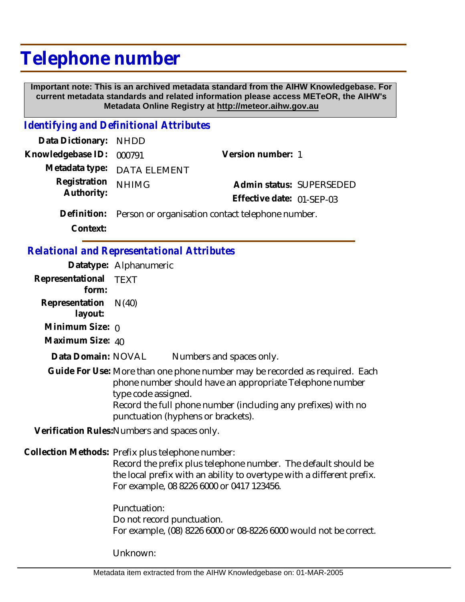## **Telephone number**

 **Important note: This is an archived metadata standard from the AIHW Knowledgebase. For current metadata standards and related information please access METeOR, the AIHW's Metadata Online Registry at http://meteor.aihw.gov.au**

## *Identifying and Definitional Attributes*

| Data Dictionary: NHDD    |                                                              |                           |  |
|--------------------------|--------------------------------------------------------------|---------------------------|--|
| Knowledgebase ID: 000791 |                                                              | Version number: 1         |  |
|                          | Metadata type: DATA ELEMENT                                  |                           |  |
| Registration             | <b>NHIMG</b>                                                 | Admin status: SUPERSEDED  |  |
| Authority:               |                                                              | Effective date: 01-SEP-03 |  |
|                          | Definition: Person or organisation contact telephone number. |                           |  |

**Context:**

## *Relational and Representational Attributes*

|                                              | Datatype: Alphanumeric                                                                                                                                                                                                                    |                                                                                                                                                                                                                                                |
|----------------------------------------------|-------------------------------------------------------------------------------------------------------------------------------------------------------------------------------------------------------------------------------------------|------------------------------------------------------------------------------------------------------------------------------------------------------------------------------------------------------------------------------------------------|
| Representational TEXT<br>form:               |                                                                                                                                                                                                                                           |                                                                                                                                                                                                                                                |
| Representation<br>layout:                    | N(40)                                                                                                                                                                                                                                     |                                                                                                                                                                                                                                                |
| Minimum Size: $\rho$                         |                                                                                                                                                                                                                                           |                                                                                                                                                                                                                                                |
| Maximum Size: 40                             |                                                                                                                                                                                                                                           |                                                                                                                                                                                                                                                |
| Data Domain: NOVAL                           |                                                                                                                                                                                                                                           | Numbers and spaces only.                                                                                                                                                                                                                       |
|                                              | type code assigned.                                                                                                                                                                                                                       | Guide For Use: More than one phone number may be recorded as required. Each<br>phone number should have an appropriate Telephone number<br>Record the full phone number (including any prefixes) with no<br>punctuation (hyphens or brackets). |
| Verification Rules: Numbers and spaces only. |                                                                                                                                                                                                                                           |                                                                                                                                                                                                                                                |
|                                              | Collection Methods: Prefix plus telephone number:<br>Record the prefix plus telephone number. The default should be<br>the local prefix with an ability to overtype with a different prefix.<br>For example, 08 8226 6000 or 0417 123456. |                                                                                                                                                                                                                                                |
|                                              | Punctuation:<br>Do not record punctuation.                                                                                                                                                                                                |                                                                                                                                                                                                                                                |

Unknown:

For example, (08) 8226 6000 or 08-8226 6000 would not be correct.